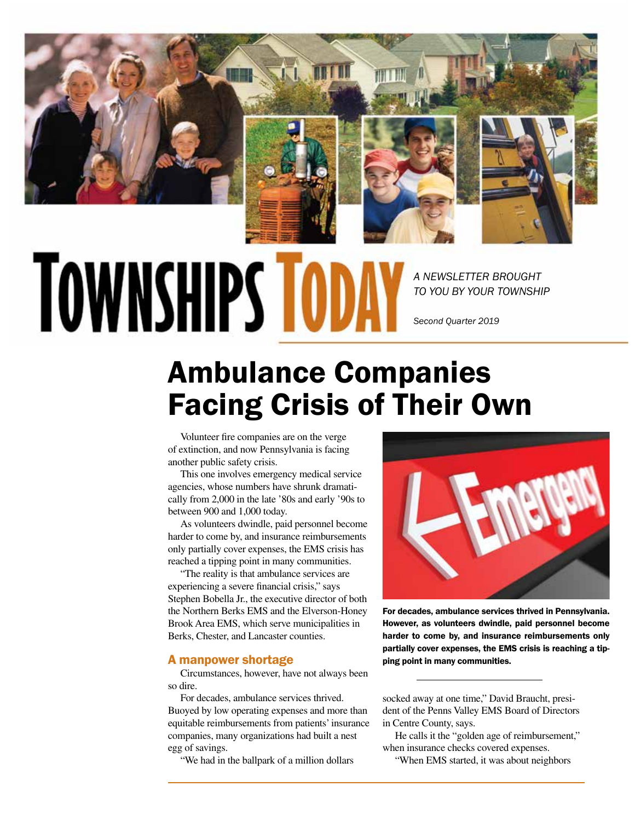

# **TOWNSHIPS TO**

*A NEWSLETTER BROUGHT TO YOU BY YOUR TOWNSHIP*

*Second Quarter 2019*

## Ambulance Companies Facing Crisis of Their Own

Volunteer fire companies are on the verge of extinction, and now Pennsylvania is facing another public safety crisis.

This one involves emergency medical service agencies, whose numbers have shrunk dramatically from 2,000 in the late '80s and early '90s to between 900 and 1,000 today.

As volunteers dwindle, paid personnel become harder to come by, and insurance reimbursements only partially cover expenses, the EMS crisis has reached a tipping point in many communities.

"The reality is that ambulance services are experiencing a severe financial crisis," says Stephen Bobella Jr., the executive director of both the Northern Berks EMS and the Elverson-Honey Brook Area EMS, which serve municipalities in Berks, Chester, and Lancaster counties.

#### A manpower shortage

Circumstances, however, have not always been so dire.

For decades, ambulance services thrived. Buoyed by low operating expenses and more than equitable reimbursements from patients' insurance companies, many organizations had built a nest egg of savings.

"We had in the ballpark of a million dollars



For decades, ambulance services thrived in Pennsylvania. However, as volunteers dwindle, paid personnel become harder to come by, and insurance reimbursements only partially cover expenses, the EMS crisis is reaching a tipping point in many communities.

socked away at one time," David Braucht, president of the Penns Valley EMS Board of Directors in Centre County, says.

He calls it the "golden age of reimbursement," when insurance checks covered expenses.

"When EMS started, it was about neighbors